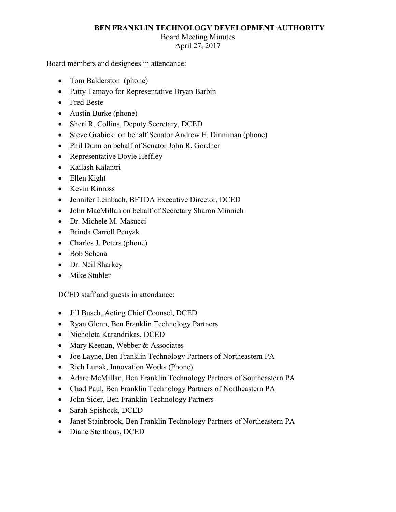## **BEN FRANKLIN TECHNOLOGY DEVELOPMENT AUTHORITY**

## Board Meeting Minutes

April 27, 2017

Board members and designees in attendance:

- Tom Balderston (phone)
- Patty Tamayo for Representative Bryan Barbin
- Fred Beste
- Austin Burke (phone)
- Sheri R. Collins, Deputy Secretary, DCED
- Steve Grabicki on behalf Senator Andrew E. Dinniman (phone)
- Phil Dunn on behalf of Senator John R. Gordner
- Representative Doyle Heffley
- Kailash Kalantri
- Ellen Kight
- Kevin Kinross
- Jennifer Leinbach, BFTDA Executive Director, DCED
- John MacMillan on behalf of Secretary Sharon Minnich
- Dr. Michele M. Masucci
- Brinda Carroll Penyak
- Charles J. Peters (phone)
- Bob Schena
- Dr. Neil Sharkey
- Mike Stubler

DCED staff and guests in attendance:

- Jill Busch, Acting Chief Counsel, DCED
- Ryan Glenn, Ben Franklin Technology Partners
- Nicholeta Karandrikas, DCED
- Mary Keenan, Webber & Associates
- Joe Layne, Ben Franklin Technology Partners of Northeastern PA
- Rich Lunak, Innovation Works (Phone)
- Adare McMillan, Ben Franklin Technology Partners of Southeastern PA
- Chad Paul, Ben Franklin Technology Partners of Northeastern PA
- John Sider, Ben Franklin Technology Partners
- Sarah Spishock, DCED
- Janet Stainbrook, Ben Franklin Technology Partners of Northeastern PA
- Diane Sterthous, DCED